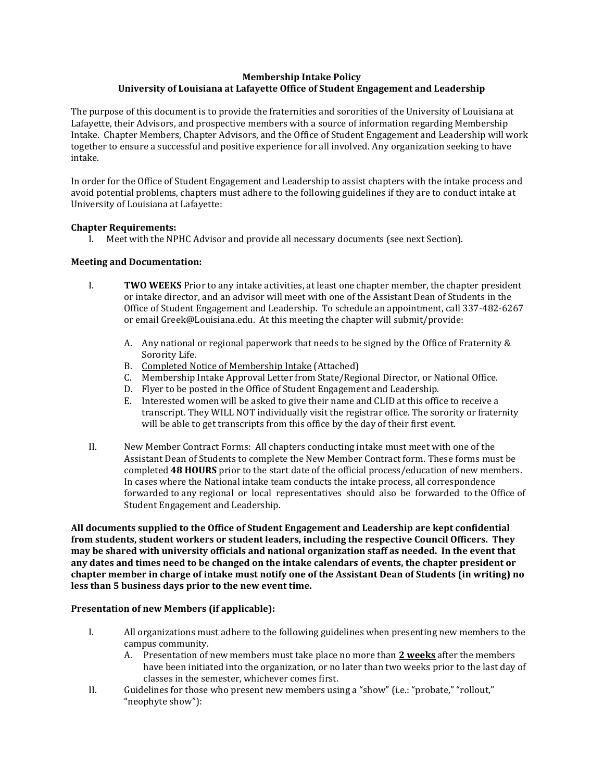# **Membership Intake Policy University of Louisiana at Lafayette Office of Student Engagement and Leadership**

The purpose of this document is to provide the fraternities and sororities of the University of Louisiana at Lafayette, their Advisors, and prospective members with a source of information regarding Membership Intake. Chapter Members, Chapter Advisors, and the Office of Student Engagement and Leadership will work together to ensure a successful and positive experience for all involved. Any organization seeking to have intake.

In order for the Office of Student Engagement and Leadership to assist chapters with the intake process and avoid potential problems, chapters must adhere to the following guidelines if they are to conduct intake at University of Louisiana at Lafayette:

# **Chapter Requirements:**

I. Meet with the NPHC Advisor and provide all necessary documents (see next Section).

# **Meeting and Documentation:**

- I. **TWO WEEKS** Prior to any intake activities, at least one chapter member, the chapter president or intake director, and an advisor will meet with one of the Assistant Dean of Students in the Office of Student Engagement and Leadership. To schedule an appointment, call 337-482-6267 or email Greek@Louisiana.edu. At this meeting the chapter will submit/provide:
	- A. Any national or regional paperwork that needs to be signed by the Office of Fraternity & Sorority Life.
	- B. Completed Notice of Membership Intake (Attached)
	- C. Membership Intake Approval Letter from State/Regional Director, or National Office.
	- D. Flyer to be posted in the Office of Student Engagement and Leadership.
	- E. Interested women will be asked to give their name and CLID at this office to receive a transcript. They WILL NOT individually visit the registrar office. The sorority or fraternity will be able to get transcripts from this office by the day of their first event.
- II. New Member Contract Forms: All chapters conducting intake must meet with one of the Assistant Dean of Students to complete the New Member Contract form. These forms must be completed **48 HOURS** prior to the start date of the official process/education of new members. In cases where the National intake team conducts the intake process, all correspondence forwarded to any regional or local representatives should also be forwarded to the Office of Student Engagement and Leadership.

**All documents supplied to the Office of Student Engagement and Leadership are kept confidential from students, student workers or student leaders, including the respective Council Officers. They may be shared with university officials and national organization staff as needed. In the event that any dates and times need to be changed on the intake calendars of events, the chapter president or chapter member in charge of intake must notify one of the Assistant Dean of Students (in writing) no less than 5 business days prior to the new event time.**

#### **Presentation of new Members (if applicable):**

- I. All organizations must adhere to the following guidelines when presenting new members to the campus community.
	- A. Presentation of new members must take place no more than **2 weeks** after the members have been initiated into the organization, or no later than two weeks prior to the last day of classes in the semester, whichever comes first.
- II. Guidelines for those who present new members using a "show" (i.e.: "probate," "rollout," "neophyte show"):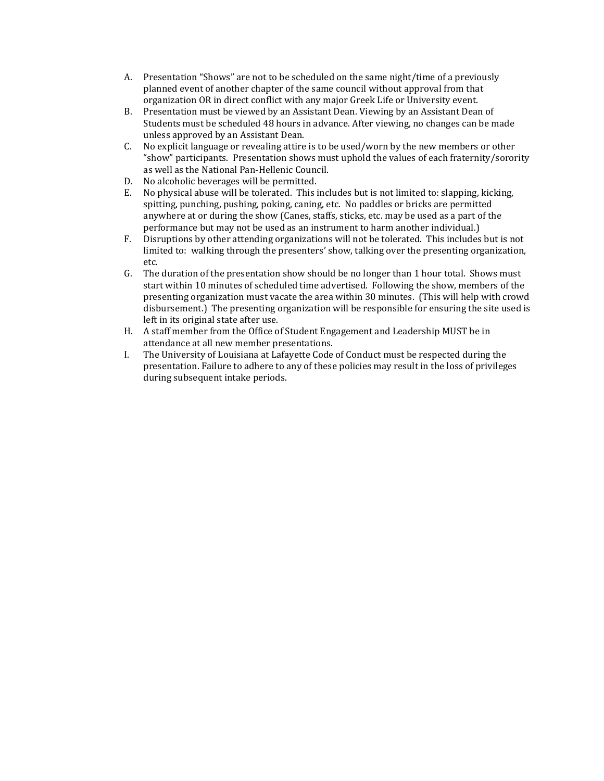- A. Presentation "Shows" are not to be scheduled on the same night/time of a previously planned event of another chapter of the same council without approval from that organization OR in direct conflict with any major Greek Life or University event.
- B. Presentation must be viewed by an Assistant Dean. Viewing by an Assistant Dean of Students must be scheduled 48 hours in advance. After viewing, no changes can be made unless approved by an Assistant Dean.
- C. No explicit language or revealing attire is to be used/worn by the new members or other "show" participants. Presentation shows must uphold the values of each fraternity/sorority as well as the National Pan-Hellenic Council.
- D. No alcoholic beverages will be permitted.
- E. No physical abuse will be tolerated. This includes but is not limited to: slapping, kicking, spitting, punching, pushing, poking, caning, etc. No paddles or bricks are permitted anywhere at or during the show (Canes, staffs, sticks, etc. may be used as a part of the performance but may not be used as an instrument to harm another individual.)
- F. Disruptions by other attending organizations will not be tolerated. This includes but is not limited to: walking through the presenters' show, talking over the presenting organization, etc.
- G. The duration of the presentation show should be no longer than 1 hour total. Shows must start within 10 minutes of scheduled time advertised. Following the show, members of the presenting organization must vacate the area within 30 minutes. (This will help with crowd disbursement.) The presenting organization will be responsible for ensuring the site used is left in its original state after use.
- H. A staff member from the Office of Student Engagement and Leadership MUST be in attendance at all new member presentations.
- I. The University of Louisiana at Lafayette Code of Conduct must be respected during the presentation. Failure to adhere to any of these policies may result in the loss of privileges during subsequent intake periods.